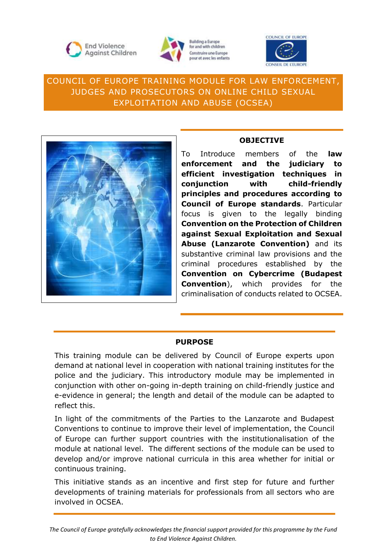



**Building a Europe** for and with children Construire une Europe pour et avec les enfants



# COUNCIL OF EUROPE TRAINING MODULE FOR LAW ENFORCEMENT, JUDGES AND PROSECUTORS ON ONLINE CHILD SEXUAL EXPLOITATION AND ABUSE (OCSEA)



## **OBJECTIVE**

To Introduce members of the **law enforcement and the judiciary to efficient investigation techniques in conjunction with child-friendly principles and procedures according to Council of Europe standards**. Particular focus is given to the legally binding **Convention on the Protection of Children against Sexual Exploitation and Sexual Abuse (Lanzarote Convention)** and its substantive criminal law provisions and the criminal procedures established by the **Convention on Cybercrime (Budapest Convention**), which provides for the criminalisation of conducts related to OCSEA.

## **PURPOSE**

This training module can be delivered by Council of Europe experts upon demand at national level in cooperation with national training institutes for the police and the judiciary. This introductory module may be implemented in conjunction with other on-going in-depth training on child-friendly justice and e-evidence in general; the length and detail of the module can be adapted to reflect this.

In light of the commitments of the Parties to the Lanzarote and Budapest Conventions to continue to improve their level of implementation, the Council of Europe can further support countries with the institutionalisation of the module at national level. The different sections of the module can be used to develop and/or improve national curricula in this area whether for initial or continuous training.

This initiative stands as an incentive and first step for future and further developments of training materials for professionals from all sectors who are involved in OCSEA.

*The Council of Europe gratefully acknowledges the financial support provided for this programme by the Fund to End Violence Against Children.*